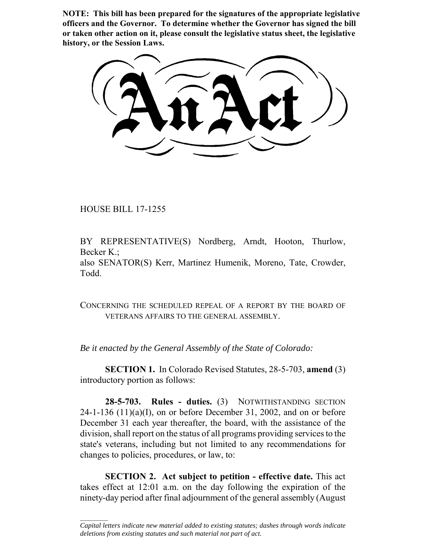**NOTE: This bill has been prepared for the signatures of the appropriate legislative officers and the Governor. To determine whether the Governor has signed the bill or taken other action on it, please consult the legislative status sheet, the legislative history, or the Session Laws.**

HOUSE BILL 17-1255

 $\frac{1}{2}$ 

BY REPRESENTATIVE(S) Nordberg, Arndt, Hooton, Thurlow, Becker K.;

also SENATOR(S) Kerr, Martinez Humenik, Moreno, Tate, Crowder, Todd.

CONCERNING THE SCHEDULED REPEAL OF A REPORT BY THE BOARD OF VETERANS AFFAIRS TO THE GENERAL ASSEMBLY.

*Be it enacted by the General Assembly of the State of Colorado:*

**SECTION 1.** In Colorado Revised Statutes, 28-5-703, **amend** (3) introductory portion as follows:

**28-5-703. Rules - duties.** (3) NOTWITHSTANDING SECTION  $24-1-136$   $(11)(a)(I)$ , on or before December 31, 2002, and on or before December 31 each year thereafter, the board, with the assistance of the division, shall report on the status of all programs providing services to the state's veterans, including but not limited to any recommendations for changes to policies, procedures, or law, to:

**SECTION 2. Act subject to petition - effective date.** This act takes effect at 12:01 a.m. on the day following the expiration of the ninety-day period after final adjournment of the general assembly (August

*Capital letters indicate new material added to existing statutes; dashes through words indicate deletions from existing statutes and such material not part of act.*